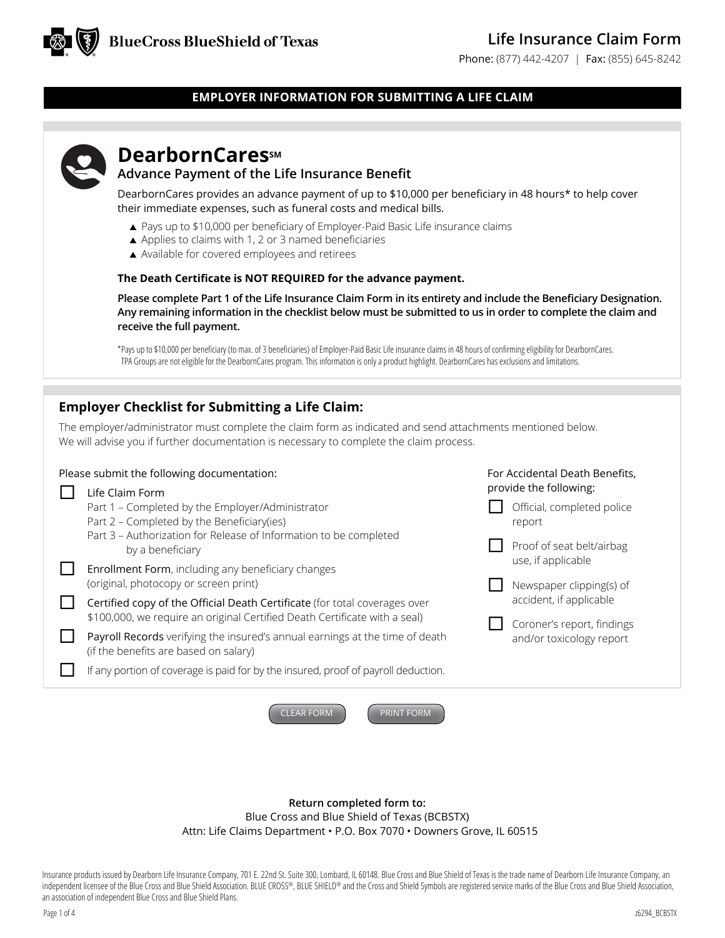Phone: (877) 442-4207 | Fax: (855) 645-8242

## **EMPLOYER INFORMATION FOR SUBMITTING A LIFE CLAIM**

# **DearbornCares**sM

## **Advance Payment of the Life Insurance Benefit**

DearbornCares provides an advance payment of up to \$10,000 per beneficiary in 48 hours\* to help cover their immediate expenses, such as funeral costs and medical bills.

- ▲ Pays up to \$10,000 per beneficiary of Employer-Paid Basic Life insurance claims
- ▲ Applies to claims with 1, 2 or 3 named beneficiaries
- ▲ Available for covered employees and retirees

#### **The Death Certificate is NOT REQUIRED for the advance payment.**

**Please complete Part 1 of the Life Insurance Claim Form in its entirety and include the Beneficiary Designation. Any remaining information in the checklist below must be submitted to us in order to complete the claim and receive the full payment.**

\*Pays up to \$10,000 per beneficiary (to max. of 3 beneficiaries) of Employer-Paid Basic Life insurance claims in 48 hours of confirming eligibility for DearbornCares. TPA Groups are not eligible for the DearbornCares program. This information is only a product highlight. DearbornCares has exclusions and limitations.

## **Employer Checklist for Submitting a Life Claim:**

The employer/administrator must complete the claim form as indicated and send attachments mentioned below. We will advise you if further documentation is necessary to complete the claim process.

## Please submit the following documentation:

| Life Claim Form                                                                                                                                          |
|----------------------------------------------------------------------------------------------------------------------------------------------------------|
| Part 1 – Completed by the Employer/Administrator                                                                                                         |
| Part 2 - Completed by the Beneficiary(ies)                                                                                                               |
| Part 3 - Authorization for Release of Information to be completed<br>by a beneficiary                                                                    |
| <b>Enrollment Form, including any beneficiary changes</b><br>(original, photocopy or screen print)                                                       |
| Certified copy of the Official Death Certificate (for total coverages over<br>\$100,000, we require an original Certified Death Certificate with a seal) |
| Payroll Records verifying the insured's annual earnings at the time of death<br>(if the benefits are based on salary)                                    |
| If any portion of coverage is paid for by the insured, proof of payroll deduction.                                                                       |
|                                                                                                                                                          |

CLEAR FORM **PRINT FORM** 



For Accidental Death Benefits, provide the following:

- Official, completed police report
- Proof of seat belt/airbag use, if applicable
- Newspaper clipping(s) of accident, if applicable
- Coroner's report, findings and/or toxicology report

**Return completed form to:** 

Blue Cross and Blue Shield of Texas (BCBSTX)

Attn: Life Claims Department • P.O. Box 7070 • Downers Grove, IL 60515

Insurance products issued by Dearborn Life Insurance Company, 701 E. 22nd St. Suite 300, Lombard, IL 60148. Blue Cross and Blue Shield of Texas is the trade name of Dearborn Life Insurance Company, an independent licensee of the Blue Cross and Blue Shield Association. BLUE CROSS®, BLUE SHIELD® and the Cross and Shield Symbols are registered service marks of the Blue Cross and Blue Shield Association, an association of independent Blue Cross and Blue Shield Plans.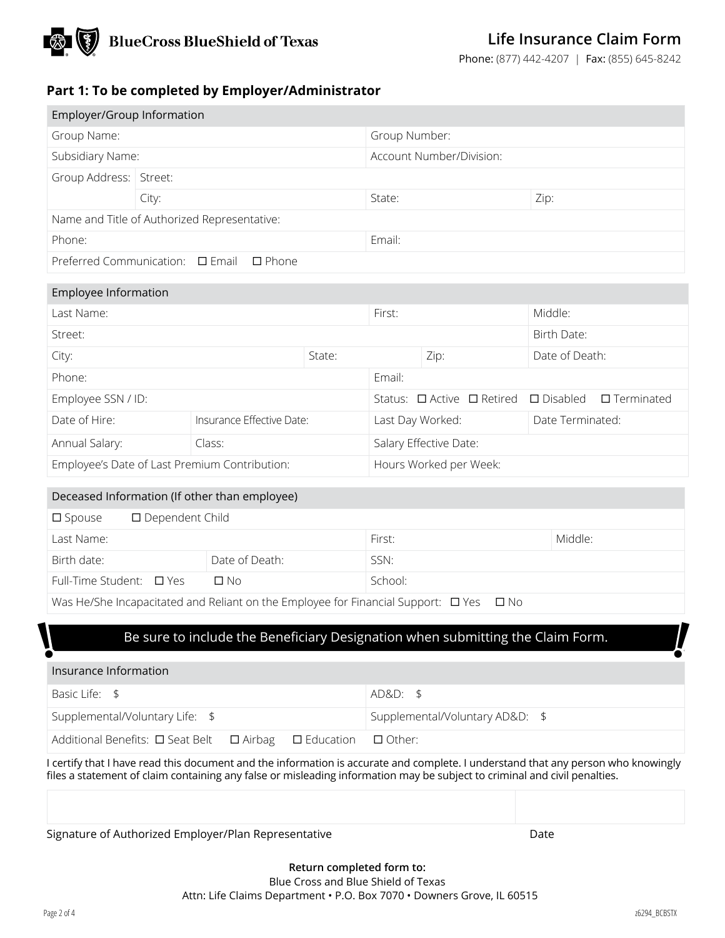

## **Life Insurance Claim Form**

Phone: (877) 442-4207 | Fax: (855) 645-8242

## **Part 1: To be completed by Employer/Administrator**

| Employer/Group Information |                                                    |                          |      |
|----------------------------|----------------------------------------------------|--------------------------|------|
| Group Name:                |                                                    | Group Number:            |      |
| Subsidiary Name:           |                                                    | Account Number/Division: |      |
| Group Address:   Street:   |                                                    |                          |      |
|                            | City:                                              | State:                   | Zip: |
|                            | Name and Title of Authorized Representative:       |                          |      |
| Phone:                     |                                                    | Email:                   |      |
|                            | Preferred Communication: $\Box$ Email $\Box$ Phone |                          |      |
|                            |                                                    |                          |      |
| Employee Information       |                                                    |                          |      |
|                            |                                                    |                          |      |

| Last Name:                                    |                           |        | First:                 |                                      | Middle:            |                   |
|-----------------------------------------------|---------------------------|--------|------------------------|--------------------------------------|--------------------|-------------------|
| Street:                                       |                           |        |                        |                                      | Birth Date:        |                   |
| City:                                         |                           | State: |                        | Zip:                                 | Date of Death:     |                   |
| Phone:                                        |                           |        | Email:                 |                                      |                    |                   |
| Employee SSN / ID:                            |                           |        |                        | Status: $\Box$ Active $\Box$ Retired | $\square$ Disabled | $\Box$ Terminated |
| Date of Hire:                                 | Insurance Effective Date: |        | Last Day Worked:       |                                      | Date Terminated:   |                   |
| Annual Salary:                                | Class:                    |        | Salary Effective Date: |                                      |                    |                   |
| Employee's Date of Last Premium Contribution: |                           |        |                        | Hours Worked per Week:               |                    |                   |

#### Deceased Information (If other than employee)

| $\square$ Dependent Child<br>$\Box$ Spouse |                                                                                       |               |         |
|--------------------------------------------|---------------------------------------------------------------------------------------|---------------|---------|
| Last Name:                                 |                                                                                       | First:        | Middle: |
| Birth date:                                | Date of Death:                                                                        | SSN:          |         |
| Full-Time Student: $\Box$ Yes              | П No                                                                                  | School:       |         |
|                                            | We Helfhe Inconscitated and Poliant on the Employee for Einancial Support: $\Box$ Vec | $\Box$ $\Box$ |         |

was He/She Incapacitated and Reliant on the Employee for Financial Support:  $\Box$  Yes  $\Box$  No

### Be sure to include the Beneficiary Designation when submitting the Claim Form.

#### Insurance Information

| Basic Life: \$                                                                     | AD&D: \$                        |
|------------------------------------------------------------------------------------|---------------------------------|
| Supplemental/Voluntary Life: \$                                                    | Supplemental/Voluntary AD&D: \$ |
| Additional Benefits: $\Box$ Seat Belt $\Box$ Airbag $\Box$ Education $\Box$ Other: |                                 |

I certify that I have read this document and the information is accurate and complete. I understand that any person who knowingly files a statement of claim containing any false or misleading information may be subject to criminal and civil penalties.

Signature of Authorized Employer/Plan Representative **Date** Date

**\\ight\** 

**!!**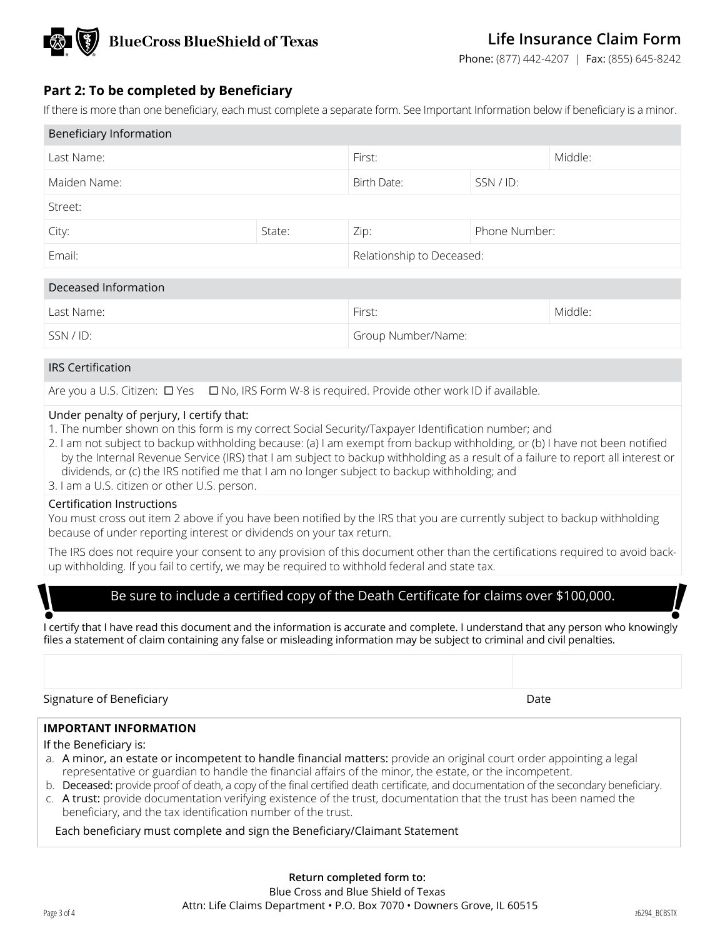

Phone: (877) 442-4207 | Fax: (855) 645-8242

## **Part 2: To be completed by Beneficiary**

If there is more than one beneficiary, each must complete a separate form. See Important Information below if beneficiary is a minor.

| Beneficiary Information |                |                           |               |                                                                                            |
|-------------------------|----------------|---------------------------|---------------|--------------------------------------------------------------------------------------------|
| Last Name:              |                | First:                    |               | Middle:                                                                                    |
| Maiden Name:            |                | Birth Date:               | SSN / ID:     |                                                                                            |
| Street:                 |                |                           |               |                                                                                            |
| City:                   | State:<br>Zip: |                           | Phone Number: |                                                                                            |
| Email:                  |                | Relationship to Deceased: |               |                                                                                            |
| Deceased Information    |                |                           |               |                                                                                            |
|                         |                | <b>Classic</b>            |               | $\mathbf{A}$ $\mathbf{A}$ $\mathbf{A}$ $\mathbf{A}$ $\mathbf{A}$ $\mathbf{A}$ $\mathbf{A}$ |

| Last Name: | First:             | Middle: |
|------------|--------------------|---------|
| SSN/ID:    | Group Number/Name: |         |

#### IRS Certification

Are you a U.S. Citizen:  $\Box$  Yes  $\Box$  No, IRS Form W-8 is required. Provide other work ID if available.

#### Under penalty of perjury, I certify that:

- 1. The number shown on this form is my correct Social Security/Taxpayer Identification number; and
- 2. I am not subject to backup withholding because: (a) I am exempt from backup withholding, or (b) I have not been notified by the Internal Revenue Service (IRS) that I am subject to backup withholding as a result of a failure to report all interest or dividends, or (c) the IRS notified me that I am no longer subject to backup withholding; and
- 3. I am a U.S. citizen or other U.S. person.

#### Certification Instructions

You must cross out item 2 above if you have been notified by the IRS that you are currently subject to backup withholding because of under reporting interest or dividends on your tax return.

The IRS does not require your consent to any provision of this document other than the certifications required to avoid backup withholding. If you fail to certify, we may be required to withhold federal and state tax.

## Be sure to include a certified copy of the Death Certificate for claims over \$100,000.

I certify that I have read this document and the information is accurate and complete. I understand that any person who knowingly files a statement of claim containing any false or misleading information may be subject to criminal and civil penalties.

Signature of Beneficiary **Date of Senetic Accord Contract Contract Contract Contract Contract Contract Contract Contract Contract Contract Contract Contract Contract Contract Contract Contract Contract Contract Contract Co** 

#### **IMPORTANT INFORMATION**

If the Beneficiary is:

- a. A minor, an estate or incompetent to handle financial matters: provide an original court order appointing a legal representative or guardian to handle the financial affairs of the minor, the estate, or the incompetent.
- b. Deceased: provide proof of death, a copy of the final certified death certificate, and documentation of the secondary beneficiary.
- c. A trust: provide documentation verifying existence of the trust, documentation that the trust has been named the beneficiary, and the tax identification number of the trust.

Each beneficiary must complete and sign the Beneficiary/Claimant Statement

**\\\ight\** 

**!!**